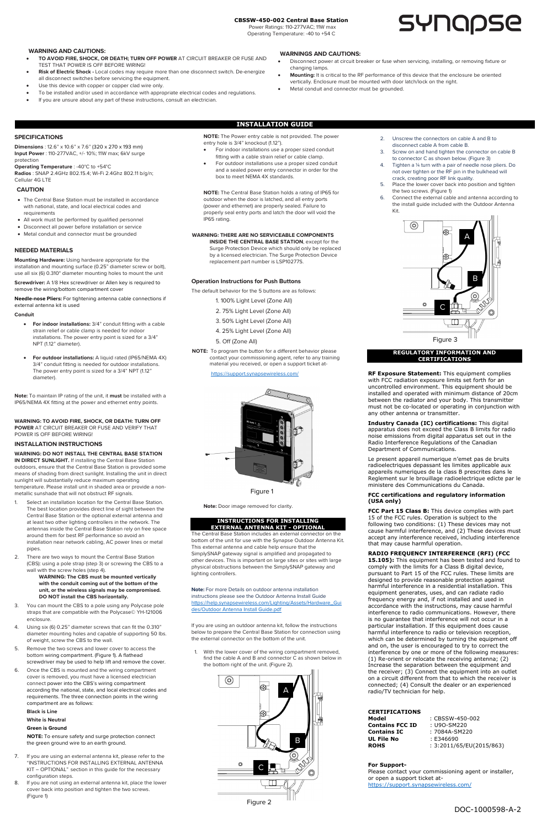**SPECIFICATIONS** 

**Dimensions** : 12.6" x 10.6" x 7.6" (320 x 270 x 193 mm) **Input Power** : 110-277VAC, +/- 10%; 11W max; 6kV surge protection

**Operating Temperature** : -40°C to +54°C **Radios** : SNAP 2.4GHz 802.15.4; Wi-Fi 2.4Ghz 802.11 b/g/n; Cellular 4G LTE

## **CAUTION**

- The Central Base Station must be installed in accordance with national, state, and local electrical codes and requirements
- All work must be performed by qualified personnel
- Disconnect all power before installation or service
- Metal conduit and connector must be grounded

## **NEEDED MATERIALS**

**Mounting Hardware:** Using hardware appropriate for the installation and mounting surface (0.25" diameter screw or bolt), use all six (6) 0.310" diameter mounting holes to mount the unit

**Screwdriver:** A 1/8 Hex screwdriver or Allen key is required to remove the wiring/bottom compartment cover

**Needle-nose Pliers:** For tightening antenna cable connections if external antenna kit is used

#### **Conduit**

- **For indoor installations:** 3/4" conduit fitting with a cable strain relief or cable clamp is needed for indoor installations. The power entry point is sized for a 3/4" NPT (1.12" diameter).
- **For outdoor installations:** A liquid rated (IP65/NEMA 4X) 3/4" conduit fitting is needed for outdoor installations. The power entry point is sized for a 3/4" NPT (1.12" diameter).

**Note:** To maintain IP rating of the unit, it **must** be installed with a IP65/NEMA 4X fitting at the power and ethernet entry points.

**WARNING: TO AVOID FIRE, SHOCK, OR DEATH: TURN OFF POWER** AT CIRCUIT BREAKER OR FUSE AND VERIFY THAT POWER IS OFF BEFORE WIRING!

## **INSTALLATION INSTRUCTIONS**

# **WARNING: DO NOT INSTALL THE CENTRAL BASE STATION**

**IN DIRECT SUNLIGHT.** If installing the Central Base Station outdoors, ensure that the Central Base Station is provided some means of shading from direct sunlight. Installing the unit in direct sunlight will substantially reduce maximum operating temperature. Please install unit in shaded area or provide a nonmetallic sunshade that will not obstruct RF signals.

- For indoor installations use a proper sized conduit fitting with a cable strain relief or cable clamp.
- For outdoor installations use a proper sized conduit and a sealed power entry connector in order for the box to meet NEMA 4X standards.

- 1. Select an installation location for the Central Base Station. The best location provides direct line of sight between the Central Base Station or the optional external antenna and at least two other lighting controllers in the network. The antennas inside the Central Base Station rely on free space around them for best RF performance so avoid an installation near network cabling, AC power lines or metal pipes.
- 2. There are two ways to mount the Central Base Station (CBS): using a pole strap (step 3) or screwing the CBS to a wall with the screw holes (step 4).

**WARNING: The CBS must be mounted vertically with the conduit coming out of the bottom of the unit, or the wireless signals may be compromised. DO NOT install the CBS horizontally.** 

You can mount the CBS to a pole using any Polycase pole

- straps that are compatible with the Polycase© YH-121006 enclosure.
- 4. Using six (6) 0.25" diameter screws that can fit the 0.310" diameter mounting holes and capable of supporting 50 lbs. of weight, screw the CBS to the wall.
- 5. Remove the two screws and lower cover to access the bottom wiring compartment. (Figure 1). A flathead screwdriver may be used to help lift and remove the cover.
- 6. Once the CBS is mounted and the wiring compartment cover is removed, you must have a licensed electrician connect power into the CBS's wiring compartment according the national, state, and local electrical codes and requirements. The three connection points in the wiring compartment are as follows:

#### **Black is Line**

**White is Neutral** 

## **Green is Ground**

 **NOTE:** To ensure safety and surge protection connect the green ground wire to an earth ground.

- 7. If you are using an external antenna kit, please refer to the "INSTRUCTIONS FOR INSTALLING EXTERNAL ANTENNA KIT – OPTIONAL" section in this guide for the necessary configuration steps.
- 8. If you are not using an external antenna kit, place the lower cover back into position and tighten the two screws. (Figure 1)

**NOTE:** The Power entry cable is not provided. The power entry hole is 3/4" knockout (1.12").

**NOTE:** The Central Base Station holds a rating of IP65 for outdoor when the door is latched, and all entry ports (power and ethernet) are properly sealed. Failure to properly seal entry ports and latch the door will void the IP65 rating.

> 15.105): This equipment has been tested and found to comply with the limits for a Class B digital device, pursuant to Part 15 of the FCC rules. These limits are designed to provide reasonable protection against harmful interference in a residential installation. This equipment generates, uses, and can radiate radio frequency energy and, if not installed and used in accordance with the instructions, may cause harmful interference to radio communications. However, there is no guarantee that interference will not occur in a particular installation. If this equipment does cause harmful interference to radio or television reception, which can be determined by turning the equipment off and on, the user is encouraged to try to correct the interference by one or more of the following measures: (1) Re-orient or relocate the receiving antenna; (2) Increase the separation between the equipment and the receiver; (3) Connect the equipment into an outlet on a circuit different from that to which the receiver is connected; (4) Consult the dealer or an experienced radio/TV technician for help.

#### **WARNING: THERE ARE NO SERVICEABLE COMPONENTS**

**INSIDE THE CENTRAL BASE STATION**, except for the Surge Protection Device which should only be replaced by a licensed electrician. The Surge Protection Device replacement part number is LSP10277S.

- **TO AVOID FIRE, SHOCK, OR DEATH; TURN OFF POWER** AT CIRCUIT BREAKER OR FUSE AND TEST THAT POWER IS OFF BEFORE WIRING!
- **Risk of Electric Shock -** Local codes may require more than one disconnect switch. De-energize all disconnect switches before servicing the equipment.
- Use this device with copper or copper clad wire only.
- To be installed and/or used in accordance with appropriate electrical codes and regulations.
- If you are unsure about any part of these instructions, consult an electrician.

#### **Operation Instructions for Push Buttons**

The default behavior for the 5 buttons are as follows:

- Disconnect power at circuit breaker or fuse when servicing, installing, or removing fixture or changing lamps.
- **Mounting:** It is critical to the RF performance of this device that the enclosure be oriented vertically. Enclosure must be mounted with door latch/lock on the right.
- Metal conduit and connector must be grounded.

- 1. 100% Light Level (Zone All)
- 2. 75% Light Level (Zone All)
- 3. 50% Light Level (Zone All)
- 4. 25% Light Level (Zone All)
- 5. Off (Zone All)
- **NOTE:** To program the button for a different behavior please contact your commissioning agent, refer to any training material you received, or open a support ticket at-

https://support.synapsewireless.com/



**Note:** Door image removed for clarity.

#### **INSTRUCTIONS FOR INSTALLING EXTERNAL ANTENNA KIT - OPTIONAL**

The Central Base Station includes an external connector on the bottom of the unit for use with the Synapse Outdoor Antenna Kit. This external antenna and cable help ensure that the SimplySNAP gateway signal is amplified and propagated to other devices. This is important on large sites or sites with large physical obstructions between the SimplySNAP gateway and lighting controllers.

**Note:** For more Details on outdoor antenna installation instructions please see the Outdoor Antenna Install Guide https://help.synapsewireless.com/Lighting/Assets/Hardware\_Gui

#### des/Outdoor Antenna Install Guide.pdf

If you are using an outdoor antenna kit, follow the instructions below to prepare the Central Base Station for connection using the external connector on the bottom of the unit.

1. With the lower cover of the wiring compartment removed, find the cable A and B and connector C as shown below in the bottom right of the unit. (Figure 2).

- 2. Unscrew the connectors on cable A and B to disconnect cable A from cable B.
- 3. Screw on and hand tighten the connector on cable B to connector C as shown below. (Figure 3)
- 4. Tighten a ¼ turn with a pair of needle nose pliers. Do not over tighten or the RF pin in the bulkhead will crack, creating poor RF link quality.
- Place the lower cover back into position and tighten the two screws. (Figure 1)
- 6. Connect the external cable and antenna according to the install guide included with the Outdoor Antenna Kit.

#### **REGULATORY INFORMATION AND CERTIFICATIONS**

**RF Exposure Statement:** This equipment complies with FCC radiation exposure limits set forth for an uncontrolled environment. This equipment should be installed and operated with minimum distance of 20cm between the radiator and your body. This transmitter must not be co-located or operating in conjunction with any other antenna or transmitter.

**Industry Canada (IC) certifications:** This digital apparatus does not exceed the Class B limits for radio noise emissions from digital apparatus set out in the Radio Interference Regulations of the Canadian Department of Communications.

Le present appareil numerique n'emet pas de bruits radioelectriques depassant les limites applicable aux appareils numeriques de la class B prescrites dans le Reglement sur le brouillage radioelectrique edicte par le ministere des Communications du Canada.

#### **FCC certifications and regulatory information (USA only)**

**FCC Part 15 Class B:** This device complies with part 15 of the FCC rules. Operation is subject to the following two conditions: (1) These devices may not cause harmful interference, and (2) These devices must accept any interference received, including interference that may cause harmful operation.

# **RADIO FREQUENCY INTERFERENCE (RFI) (FCC**

#### **CERTIFICATIONS**

| : CBSSW-450-002<br>Model         |  |
|----------------------------------|--|
| Contains FCC ID<br>: U9O-SM220   |  |
| : 7084A-SM220<br>Contains IC     |  |
| UL File No<br>: E346690          |  |
| : 3:2011/65/EU(2015/863)<br>ROHS |  |

# **For Support-**

Please contact your commissioning agent or installer, or open a support ticket athttps://support.synapsewireless.com/

**INSTALLATION GUIDE**

#### **WARNING AND CAUTIONS:**

## **CBSSW-450-002 Central Base Station**

Power Ratings: 110-277VAC; 11W max Operating Temperature: -40 to +54 C

# SYNQQSe

#### **WARNINGS AND CAUTIONS:**



Figure 1